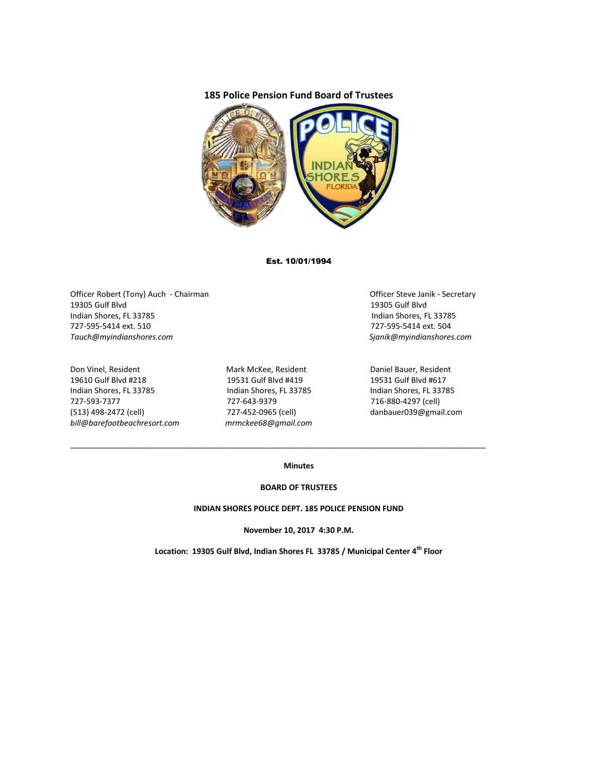# **185 Police Pension Fund Board of Trustees**



## Est. 10/01/1994

Officer Robert (Tony) Auch - Chairman Chairman Chairman Officer Steve Janik - Secretary 19305 Gulf Blvd 19305 Gulf Blvd Indian Shores, FL 33785 Indian Shores, FL 33785 727-595-5414 ext. 510 727-595-5414 ext. 504 *Tauch@myindianshores.com Sjanik@myindianshores.com*

Don Vinel, Resident The Mark McKee, Resident Daniel Bauer, Resident 19610 Gulf Blvd #218 19531 Gulf Blvd #419 19531 Gulf Blvd #617 Indian Shores, FL 33785 Indian Shores, FL 33785 Indian Shores, FL 33785 727-593-7377 727-643-9379 716-880-4297 (cell) (513) 498-2472 (cell) 727-452-0965 (cell) danbauer039@gmail.com *bill@barefootbeachresort.com mrmckee68@gmail.com*

\_\_\_\_\_\_\_\_\_\_\_\_\_\_\_\_\_\_\_\_\_\_\_\_\_\_\_\_\_\_\_\_\_\_\_\_\_\_\_\_\_\_\_\_\_\_\_\_\_\_\_\_\_\_\_\_\_\_\_\_\_\_\_\_\_\_\_\_\_\_\_\_\_\_\_\_\_\_\_\_\_\_\_\_\_\_\_\_\_\_\_\_\_\_\_

## **Minutes**

#### **BOARD OF TRUSTEES**

### **INDIAN SHORES POLICE DEPT. 185 POLICE PENSION FUND**

**November 10, 2017 4:30 P.M.**

**Location: 19305 Gulf Blvd, Indian Shores FL 33785 / Municipal Center 4th Floor**